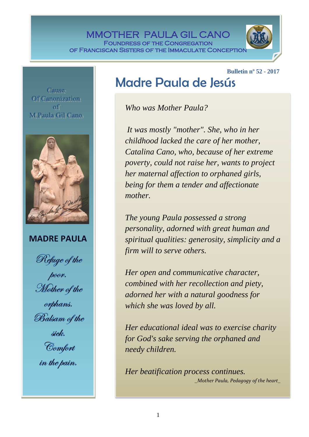MMOTHER PAULA GIL CANO Foundress of the Congregation OF FRANCISCAN SISTERS OF THE IMMACULATE CONCEPTIO

**Bulletin nº 52 - 2017**

Cause Of Canonization off M.Paula Gill Cano 

### **MADRE PAULA**

Refuge of the<br>poor.<br>Mother of the orphans. Balsam of the siek. Comfort<br>in the pain.

## Madre Paula de Jesús

*Who was Mother Paula?*

*It was mostly "mother". She, who in her childhood lacked the care of her mother, Catalina Cano, who, because of her extreme poverty, could not raise her, wants to project her maternal affection to orphaned girls, being for them a tender and affectionate mother.*

*The young Paula possessed a strong personality, adorned with great human and spiritual qualities: generosity, simplicity and a firm will to serve others.*

*Her open and communicative character, combined with her recollection and piety, adorned her with a natural goodness for which she was loved by all.*

*Her educational ideal was to exercise charity for God's sake serving the orphaned and needy children.*

*Her beatification process continues. \_Mother Paula, Pedagogy of the heart\_*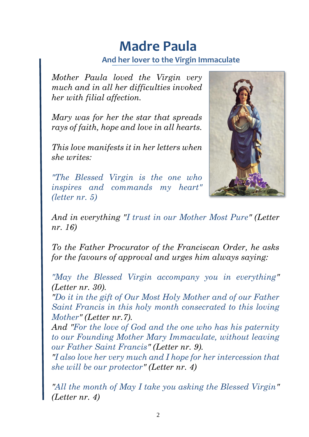# **Madre Paula**

## **And her lover to the Virgin Immaculate**

*Mother Paula loved the Virgin very much and in all her difficulties invoked her with filial affection.*

*Mary was for her the star that spreads rays of faith, hope and love in all hearts.*

*This love manifests it in her letters when she writes:*

*"The Blessed Virgin is the one who inspires and commands my heart" (letter nr. 5)*



*And in everything "I trust in our Mother Most Pure" (Letter nr. 16)*

*To the Father Procurator of the Franciscan Order, he asks for the favours of approval and urges him always saying:*

*"May the Blessed Virgin accompany you in everything" (Letter nr. 30).*

*"Do it in the gift of Our Most Holy Mother and of our Father Saint Francis in this holy month consecrated to this loving Mother" (Letter nr.7).*

*And "For the love of God and the one who has his paternity to our Founding Mother Mary Immaculate, without leaving our Father Saint Francis" (Letter nr. 9).*

*"I also love her very much and I hope for her intercession that she will be our protector" (Letter nr. 4)*

*"All the month of May I take you asking the Blessed Virgin" (Letter nr. 4)*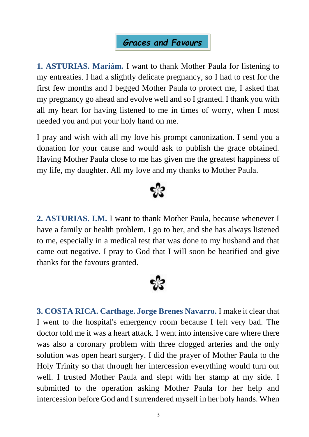## *Graces and Favours*

**1. ASTURIAS. Mariám.** I want to thank Mother Paula for listening to my entreaties. I had a slightly delicate pregnancy, so I had to rest for the first few months and I begged Mother Paula to protect me, I asked that my pregnancy go ahead and evolve well and so I granted. I thank you with all my heart for having listened to me in times of worry, when I most needed you and put your holy hand on me.

I pray and wish with all my love his prompt canonization. I send you a donation for your cause and would ask to publish the grace obtained. Having Mother Paula close to me has given me the greatest happiness of my life, my daughter. All my love and my thanks to Mother Paula.



**2. ASTURIAS. I.M.** I want to thank Mother Paula, because whenever I have a family or health problem, I go to her, and she has always listened to me, especially in a medical test that was done to my husband and that came out negative. I pray to God that I will soon be beatified and give thanks for the favours granted.



**3. COSTA RICA. Carthage. Jorge Brenes Navarro.** I make it clear that I went to the hospital's emergency room because I felt very bad. The doctor told me it was a heart attack. I went into intensive care where there was also a coronary problem with three clogged arteries and the only solution was open heart surgery. I did the prayer of Mother Paula to the Holy Trinity so that through her intercession everything would turn out well. I trusted Mother Paula and slept with her stamp at my side. I submitted to the operation asking Mother Paula for her help and intercession before God and I surrendered myself in her holy hands. When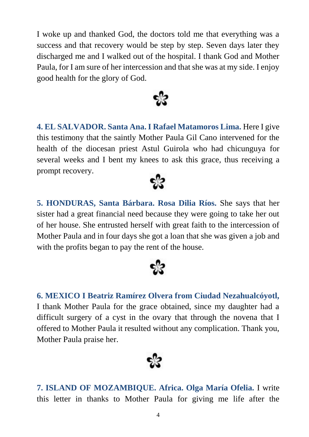I woke up and thanked God, the doctors told me that everything was a success and that recovery would be step by step. Seven days later they discharged me and I walked out of the hospital. I thank God and Mother Paula, for I am sure of her intercession and that she was at my side. I enjoy good health for the glory of God.



**4. EL SALVADOR. Santa Ana. I Rafael Matamoros Lima.** Here I give this testimony that the saintly Mother Paula Gil Cano intervened for the health of the diocesan priest Astul Guirola who had chicunguya for several weeks and I bent my knees to ask this grace, thus receiving a prompt recovery.





**6. MEXICO I Beatriz Ramírez Olvera from Ciudad Nezahualcóyotl,**  I thank Mother Paula for the grace obtained, since my daughter had a difficult surgery of a cyst in the ovary that through the novena that I offered to Mother Paula it resulted without any complication. Thank you, Mother Paula praise her.



**7. ISLAND OF MOZAMBIQUE. Africa. Olga María Ofelia.** I write this letter in thanks to Mother Paula for giving me life after the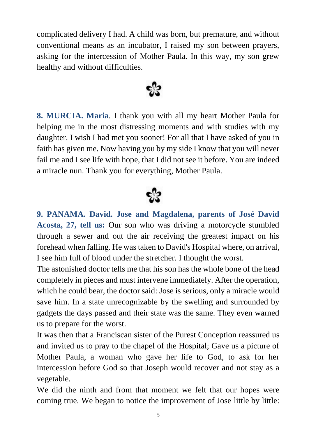complicated delivery I had. A child was born, but premature, and without conventional means as an incubator, I raised my son between prayers, asking for the intercession of Mother Paula. In this way, my son grew healthy and without difficulties.



**8. MURCIA. Maria**. I thank you with all my heart Mother Paula for helping me in the most distressing moments and with studies with my daughter. I wish I had met you sooner! For all that I have asked of you in faith has given me. Now having you by my side I know that you will never fail me and I see life with hope, that I did not see it before. You are indeed a miracle nun. Thank you for everything, Mother Paula.



**9. PANAMA. David. Jose and Magdalena, parents of José David Acosta, 27, tell us:** Our son who was driving a motorcycle stumbled through a sewer and out the air receiving the greatest impact on his forehead when falling. He was taken to David's Hospital where, on arrival, I see him full of blood under the stretcher. I thought the worst.

The astonished doctor tells me that his son has the whole bone of the head completely in pieces and must intervene immediately. After the operation, which he could bear, the doctor said: Jose is serious, only a miracle would save him. In a state unrecognizable by the swelling and surrounded by gadgets the days passed and their state was the same. They even warned us to prepare for the worst.

It was then that a Franciscan sister of the Purest Conception reassured us and invited us to pray to the chapel of the Hospital; Gave us a picture of Mother Paula, a woman who gave her life to God, to ask for her intercession before God so that Joseph would recover and not stay as a vegetable.

We did the ninth and from that moment we felt that our hopes were coming true. We began to notice the improvement of Jose little by little: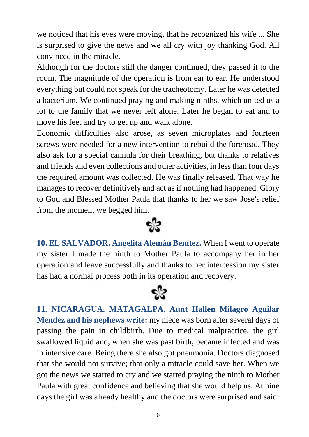we noticed that his eyes were moving, that he recognized his wife ... She is surprised to give the news and we all cry with joy thanking God. All convinced in the miracle.

Although for the doctors still the danger continued, they passed it to the room. The magnitude of the operation is from ear to ear. He understood everything but could not speak for the tracheotomy. Later he was detected a bacterium. We continued praying and making ninths, which united us a lot to the family that we never left alone. Later he began to eat and to move his feet and try to get up and walk alone.

Economic difficulties also arose, as seven microplates and fourteen screws were needed for a new intervention to rebuild the forehead. They also ask for a special cannula for their breathing, but thanks to relatives and friends and even collections and other activities, in less than four days the required amount was collected. He was finally released. That way he manages to recover definitively and act as if nothing had happened. Glory to God and Blessed Mother Paula that thanks to her we saw Jose's relief from the moment we begged him.



**10. EL SALVADOR. Angelita Alemán Benítez.** When I went to operate my sister I made the ninth to Mother Paula to accompany her in her operation and leave successfully and thanks to her intercession my sister has had a normal process both in its operation and recovery.



**11. NICARAGUA. MATAGALPA. Aunt Hallen Milagro Aguilar Mendez and his nephews write:** my niece was born after several days of passing the pain in childbirth. Due to medical malpractice, the girl swallowed liquid and, when she was past birth, became infected and was in intensive care. Being there she also got pneumonia. Doctors diagnosed that she would not survive; that only a miracle could save her. When we got the news we started to cry and we started praying the ninth to Mother Paula with great confidence and believing that she would help us. At nine days the girl was already healthy and the doctors were surprised and said: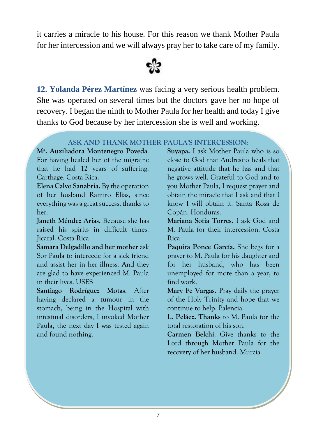it carries a miracle to his house. For this reason we thank Mother Paula for her intercession and we will always pray her to take care of my family.



**12. Yolanda Pérez Martínez** was facing a very serious health problem. She was operated on several times but the doctors gave her no hope of recovery. I began the ninth to Mother Paula for her health and today I give thanks to God because by her intercession she is well and working.

### **ASK AND THANK MOTHER PAULA'S INTERCESSION:**

**Mª. Auxiliadora Montenegro Poveda**. For having healed her of the migraine that he had 12 years of suffering. Carthage. Costa Rica.

**Elena Calvo Sanabria.** By the operation of her husband Ramiro Elías, since everything was a great success, thanks to her.

**Janeth Méndez Arias.** Because she has raised his spirits in difficult times. Jicaral. Costa Rica.

**Samara Delgadillo and her mother** ask Sor Paula to intercede for a sick friend and assist her in her illness. And they are glad to have experienced M. Paula in their lives. USES

**Santiago Rodríguez Motas**. After having declared a tumour in the stomach, being in the Hospital with intestinal disorders, I invoked Mother Paula, the next day I was tested again and found nothing.

**Suyapa.** I ask Mother Paula who is so close to God that Andresito heals that negative attitude that he has and that he grows well. Grateful to God and to you Mother Paula, I request prayer and obtain the miracle that I ask and that I know I will obtain it. Santa Rosa de Copán. Honduras.

**Mariana Sofía Torres.** I ask God and M. Paula for their intercession. Costa Rica

**Paquita Ponce García.** She begs for a prayer to M. Paula for his daughter and for her husband, who has been unemployed for more than a year, to find work.

**Mary Fe Vargas.** Pray daily the prayer of the Holy Trinity and hope that we continue to help. Palencia.

**L. Peláez. Thanks** to M. Paula for the total restoration of his son.

**Carmen Belchi**. Give thanks to the Lord through Mother Paula for the recovery of her husband. Murcia*.*